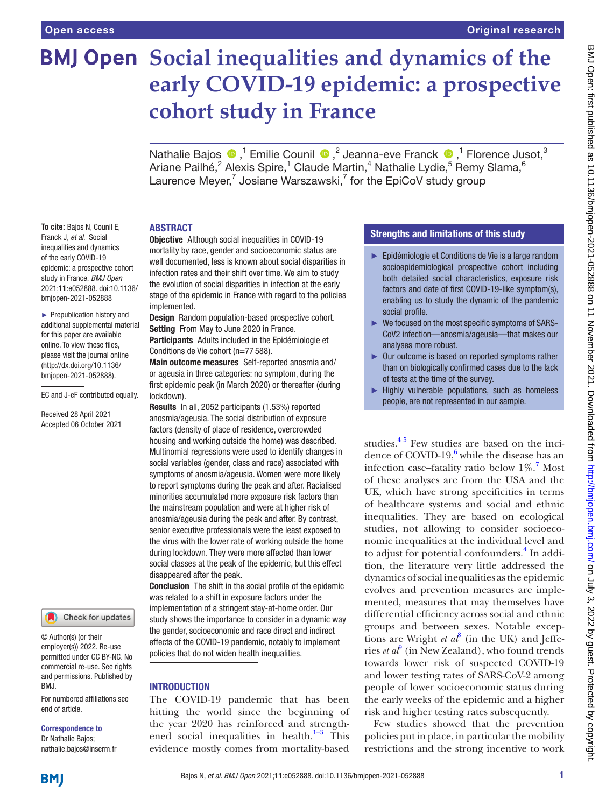**To cite:** Bajos N, Counil E, Franck J, *et al*. Social inequalities and dynamics of the early COVID-19 epidemic: a prospective cohort study in France. *BMJ Open* 2021;11:e052888. doi:10.1136/ bmjopen-2021-052888 ► Prepublication history and additional supplemental material for this paper are available online. To view these files, please visit the journal online [\(http://dx.doi.org/10.1136/](http://dx.doi.org/10.1136/bmjopen-2021-052888) [bmjopen-2021-052888](http://dx.doi.org/10.1136/bmjopen-2021-052888)).

EC and J-eF contributed equally.

Received 28 April 2021 Accepted 06 October 2021

# **BMJ Open** Social inequalities and dynamics of the **early COVID-19 epidemic: a prospective cohort study in France**

NathalieBajos  $\bigcirc$ ,<sup>1</sup> Emilie Counil  $\bigcirc$ ,<sup>2</sup> Jeanna-eve Franck  $\bigcirc$ ,<sup>1</sup> Florence Jusot,<sup>3</sup> Ariane Pailhé, $^2$  Alexis Spire, $^1$  Claude Martin, $^4$  Nathalie Lydie, $^5$  Remy Slama, $^6$ Laurence Meyer,<sup>7</sup> Josiane Warszawski,<sup>7</sup> for the EpiCoV study group

#### ABSTRACT

**Objective** Although social inequalities in COVID-19 mortality by race, gender and socioeconomic status are well documented, less is known about social disparities in infection rates and their shift over time. We aim to study the evolution of social disparities in infection at the early stage of the epidemic in France with regard to the policies implemented.

Design Random population-based prospective cohort. Setting From May to June 2020 in France.

Participants Adults included in the Epidémiologie et Conditions de Vie cohort (n=77 588).

Main outcome measures Self-reported anosmia and/ or ageusia in three categories: no symptom, during the first epidemic peak (in March 2020) or thereafter (during lockdown).

Results In all, 2052 participants (1.53%) reported anosmia/ageusia. The social distribution of exposure factors (density of place of residence, overcrowded housing and working outside the home) was described. Multinomial regressions were used to identify changes in social variables (gender, class and race) associated with symptoms of anosmia/ageusia. Women were more likely to report symptoms during the peak and after. Racialised minorities accumulated more exposure risk factors than the mainstream population and were at higher risk of anosmia/ageusia during the peak and after. By contrast, senior executive professionals were the least exposed to the virus with the lower rate of working outside the home during lockdown. They were more affected than lower social classes at the peak of the epidemic, but this effect disappeared after the peak.

Conclusion The shift in the social profile of the epidemic was related to a shift in exposure factors under the implementation of a stringent stay-at-home order. Our study shows the importance to consider in a dynamic way the gender, socioeconomic and race direct and indirect effects of the COVID-19 pandemic, notably to implement policies that do not widen health inequalities.

# **INTRODUCTION**

The COVID-19 pandemic that has been hitting the world since the beginning of the year 2020 has reinforced and strengthened social inequalities in health. $1-3$  This evidence mostly comes from mortality-based

# Strengths and limitations of this study

- ► Epidémiologie et Conditions de Vie is a large random socioepidemiological prospective cohort including both detailed social characteristics, exposure risk factors and date of first COVID-19-like symptom(s), enabling us to study the dynamic of the pandemic social profile.
- ► We focused on the most specific symptoms of SARS-CoV2 infection—anosmia/ageusia—that makes our analyses more robust.
- ► Our outcome is based on reported symptoms rather than on biologically confirmed cases due to the lack of tests at the time of the survey.
- ► Highly vulnerable populations, such as homeless people, are not represented in our sample.

studies. $45$  Few studies are based on the incidence of COVID-19, $^6$  $^6$  while the disease has an infection case–fatality ratio below  $1\%$ .<sup>[7](#page-9-3)</sup> Most of these analyses are from the USA and the UK, which have strong specificities in terms of healthcare systems and social and ethnic inequalities. They are based on ecological studies, not allowing to consider socioeconomic inequalities at the individual level and to adjust for potential confounders.<sup>4</sup> In addition, the literature very little addressed the dynamics of social inequalities as the epidemic evolves and prevention measures are implemented, measures that may themselves have differential efficiency across social and ethnic groups and between sexes. Notable exceptions are Wright  $et\ a^{\beta}$  (in the UK) and Jefferies *et al*<sup>[9](#page-9-5)</sup> (in New Zealand), who found trends towards lower risk of suspected COVID-19 and lower testing rates of SARS-CoV-2 among people of lower socioeconomic status during the early weeks of the epidemic and a higher risk and higher testing rates subsequently.

Few studies showed that the prevention policies put in place, in particular the mobility restrictions and the strong incentive to work

# © Author(s) (or their employer(s)) 2022. Re-use

permitted under CC BY-NC. No commercial re-use. See rights and permissions. Published by BMJ.

Check for updates

For numbered affiliations see end of article.

#### Correspondence to Dr Nathalie Bajos; nathalie.bajos@inserm.fr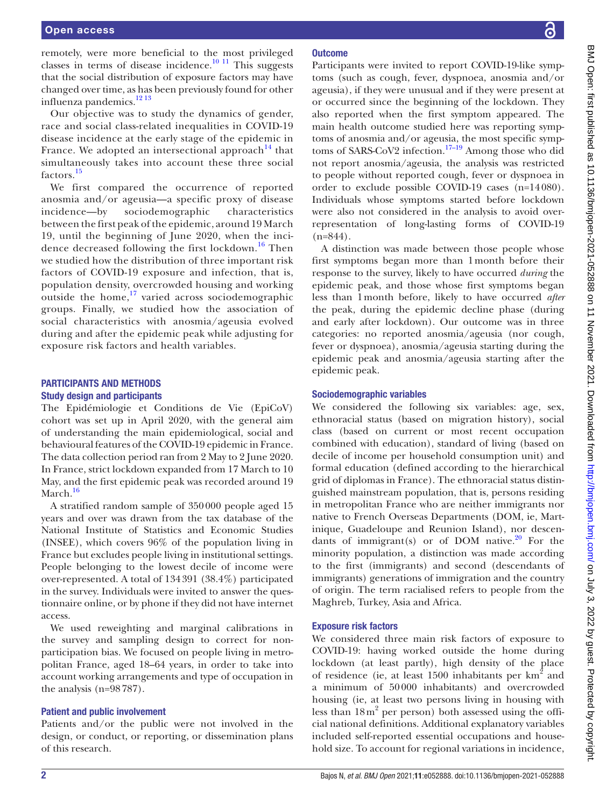remotely, were more beneficial to the most privileged classes in terms of disease incidence. $\frac{10 \text{ H}}{11 \text{ This suggests}}$ that the social distribution of exposure factors may have changed over time, as has been previously found for other influenza pandemics.<sup>12 13</sup>

Our objective was to study the dynamics of gender, race and social class-related inequalities in COVID-19 disease incidence at the early stage of the epidemic in France. We adopted an intersectional approach  $14$  that simultaneously takes into account these three social factors.<sup>[15](#page-9-9)</sup>

We first compared the occurrence of reported anosmia and/or ageusia—a specific proxy of disease incidence—by sociodemographic characteristics between the first peak of the epidemic, around 19 March 19, until the beginning of June 2020, when the incidence decreased following the first lockdown.<sup>16</sup> Then we studied how the distribution of three important risk factors of COVID-19 exposure and infection, that is, population density, overcrowded housing and working outside the home, $17$  varied across sociodemographic groups. Finally, we studied how the association of social characteristics with anosmia/ageusia evolved during and after the epidemic peak while adjusting for exposure risk factors and health variables.

# PARTICIPANTS AND METHODS Study design and participants

The Epidémiologie et Conditions de Vie (EpiCoV) cohort was set up in April 2020, with the general aim of understanding the main epidemiological, social and behavioural features of the COVID-19 epidemic in France. The data collection period ran from 2 May to 2 June 2020. In France, strict lockdown expanded from 17 March to 10 May, and the first epidemic peak was recorded around 19 March.<sup>[16](#page-9-10)</sup>

A stratified random sample of 350000 people aged 15 years and over was drawn from the tax database of the National Institute of Statistics and Economic Studies (INSEE), which covers 96% of the population living in France but excludes people living in institutional settings. People belonging to the lowest decile of income were over-represented. A total of 134391 (38.4%) participated in the survey. Individuals were invited to answer the questionnaire online, or by phone if they did not have internet access.

We used reweighting and marginal calibrations in the survey and sampling design to correct for nonparticipation bias. We focused on people living in metropolitan France, aged 18–64 years, in order to take into account working arrangements and type of occupation in the analysis  $(n=98787)$ .

#### Patient and public involvement

Patients and/or the public were not involved in the design, or conduct, or reporting, or dissemination plans of this research.

# **Outcome**

Participants were invited to report COVID-19-like symptoms (such as cough, fever, dyspnoea, anosmia and/or ageusia), if they were unusual and if they were present at or occurred since the beginning of the lockdown. They also reported when the first symptom appeared. The main health outcome studied here was reporting symptoms of anosmia and/or ageusia, the most specific symptoms of SARS-CoV2 infection.<sup>17–19</sup> Among those who did not report anosmia/ageusia, the analysis was restricted to people without reported cough, fever or dyspnoea in order to exclude possible COVID-19 cases (n=14080). Individuals whose symptoms started before lockdown were also not considered in the analysis to avoid overrepresentation of long-lasting forms of COVID-19  $(n=844)$ .

A distinction was made between those people whose first symptoms began more than 1month before their response to the survey, likely to have occurred *during* the epidemic peak, and those whose first symptoms began less than 1month before, likely to have occurred *after* the peak, during the epidemic decline phase (during and early after lockdown). Our outcome was in three categories: no reported anosmia/ageusia (nor cough, fever or dyspnoea), anosmia/ageusia starting during the epidemic peak and anosmia/ageusia starting after the epidemic peak.

#### Sociodemographic variables

We considered the following six variables: age, sex, ethnoracial status (based on migration history), social class (based on current or most recent occupation combined with education), standard of living (based on decile of income per household consumption unit) and formal education (defined according to the hierarchical grid of diplomas in France). The ethnoracial status distinguished mainstream population, that is, persons residing in metropolitan France who are neither immigrants nor native to French Overseas Departments (DOM, ie, Martinique, Guadeloupe and Reunion Island), nor descen-dants of immigrant(s) or of DOM native.<sup>[20](#page-9-12)</sup> For the minority population, a distinction was made according to the first (immigrants) and second (descendants of immigrants) generations of immigration and the country of origin. The term racialised refers to people from the Maghreb, Turkey, Asia and Africa.

#### Exposure risk factors

We considered three main risk factors of exposure to COVID-19: having worked outside the home during lockdown (at least partly), high density of the place of residence (ie, at least  $1500$  inhabitants per  $km<sup>2</sup>$  and a minimum of 50000 inhabitants) and overcrowded housing (ie, at least two persons living in housing with less than  $18 \text{ m}^2$  per person) both assessed using the official national definitions. Additional explanatory variables included self-reported essential occupations and household size. To account for regional variations in incidence,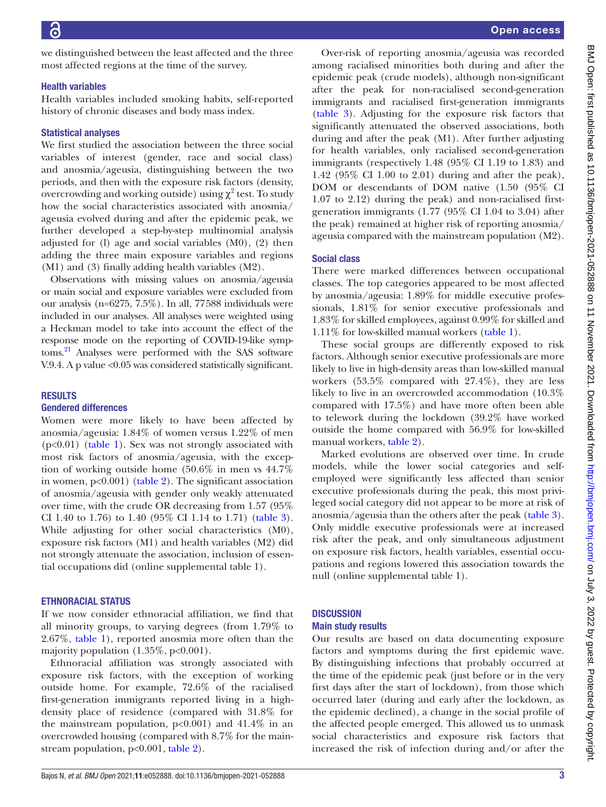we distinguished between the least affected and the three most affected regions at the time of the survey.

#### Health variables

Health variables included smoking habits, self-reported history of chronic diseases and body mass index.

#### Statistical analyses

We first studied the association between the three social variables of interest (gender, race and social class) and anosmia/ageusia, distinguishing between the two periods, and then with the exposure risk factors (density, overcrowding and working outside) using  $\chi^2$  test. To study how the social characteristics associated with anosmia/ ageusia evolved during and after the epidemic peak, we further developed a step-by-step multinomial analysis adjusted for (l) age and social variables (M0), (2) then adding the three main exposure variables and regions (M1) and (3) finally adding health variables (M2).

Observations with missing values on anosmia/ageusia or main social and exposure variables were excluded from our analysis (n=6275, 7.5%). In all, 77588 individuals were included in our analyses. All analyses were weighted using a Heckman model to take into account the effect of the response mode on the reporting of COVID-19-like symptoms.<sup>21</sup> Analyses were performed with the SAS software V.9.4. A p value <0.05 was considered statistically significant.

#### RESULTS

#### Gendered differences

Women were more likely to have been affected by anosmia/ageusia: 1.84% of women versus 1.22% of men (p<0.01) ([table](#page-3-0) 1). Sex was not strongly associated with most risk factors of anosmia/ageusia, with the exception of working outside home (50.6% in men vs 44.7% in women, p<0.001) [\(table](#page-5-0) 2). The significant association of anosmia/ageusia with gender only weakly attenuated over time, with the crude OR decreasing from 1.57 (95% CI 1.40 to 1.76) to 1.40 (95% CI 1.14 to 1.71) ([table](#page-6-0) 3). While adjusting for other social characteristics (M0), exposure risk factors (M1) and health variables (M2) did not strongly attenuate the association, inclusion of essential occupations did [\(online supplemental table 1\)](https://dx.doi.org/10.1136/bmjopen-2021-052888).

#### ETHNORACIAL STATUS

If we now consider ethnoracial affiliation, we find that all minority groups, to varying degrees (from 1.79% to 2.67%, [table](#page-3-0) 1), reported anosmia more often than the majority population  $(1.35\%, p<0.001)$ .

Ethnoracial affiliation was strongly associated with exposure risk factors, with the exception of working outside home. For example, 72.6% of the racialised first-generation immigrants reported living in a highdensity place of residence (compared with 31.8% for the mainstream population,  $p<0.001$ ) and  $41.4\%$  in an overcrowded housing (compared with 8.7% for the mainstream population, p<0.001, [table](#page-5-0) 2).

Over-risk of reporting anosmia/ageusia was recorded among racialised minorities both during and after the epidemic peak (crude models), although non-significant after the peak for non-racialised second-generation immigrants and racialised first-generation immigrants [\(table](#page-6-0) 3). Adjusting for the exposure risk factors that significantly attenuated the observed associations, both during and after the peak (M1). After further adjusting for health variables, only racialised second-generation immigrants (respectively 1.48 (95% CI 1.19 to 1.83) and 1.42 (95% CI 1.00 to 2.01) during and after the peak), DOM or descendants of DOM native (1.50 (95% CI 1.07 to 2.12) during the peak) and non-racialised firstgeneration immigrants (1.77 (95% CI 1.04 to 3.04) after the peak) remained at higher risk of reporting anosmia/ ageusia compared with the mainstream population (M2).

# Social class

There were marked differences between occupational classes. The top categories appeared to be most affected by anosmia/ageusia: 1.89% for middle executive professionals, 1.81% for senior executive professionals and 1.83% for skilled employees, against 0.99% for skilled and 1.11% for low-skilled manual workers [\(table](#page-3-0) 1).

These social groups are differently exposed to risk factors. Although senior executive professionals are more likely to live in high-density areas than low-skilled manual workers (53.5% compared with 27.4%), they are less likely to live in an overcrowded accommodation (10.3% compared with 17.5%) and have more often been able to telework during the lockdown (39.2% have worked outside the home compared with 56.9% for low-skilled manual workers, [table](#page-5-0) 2).

Marked evolutions are observed over time. In crude models, while the lower social categories and selfemployed were significantly less affected than senior executive professionals during the peak, this most privileged social category did not appear to be more at risk of anosmia/ageusia than the others after the peak ([table](#page-6-0) 3). Only middle executive professionals were at increased risk after the peak, and only simultaneous adjustment on exposure risk factors, health variables, essential occupations and regions lowered this association towards the null [\(online supplemental table 1](https://dx.doi.org/10.1136/bmjopen-2021-052888)).

# **DISCUSSION**

#### Main study results

Our results are based on data documenting exposure factors and symptoms during the first epidemic wave. By distinguishing infections that probably occurred at the time of the epidemic peak (just before or in the very first days after the start of lockdown), from those which occurred later (during and early after the lockdown, as the epidemic declined), a change in the social profile of the affected people emerged. This allowed us to unmask social characteristics and exposure risk factors that increased the risk of infection during and/or after the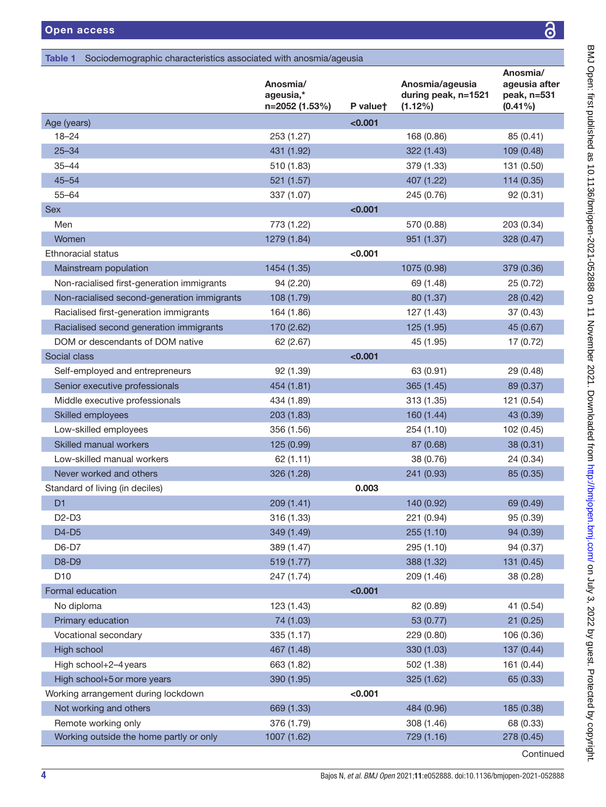# <span id="page-3-0"></span>Table 1 Sociodemographic characteristics associated with anosmia/ageusia

|                                             | Anosmia/<br>ageusia,*<br>n=2052 (1.53%) | P valuet | Anosmia/ageusia<br>during peak, n=1521<br>(1.12%) | Anosmia/<br>ageusia after<br>peak, n=531<br>$(0.41\%)$ |
|---------------------------------------------|-----------------------------------------|----------|---------------------------------------------------|--------------------------------------------------------|
| Age (years)                                 |                                         | < 0.001  |                                                   |                                                        |
| $18 - 24$                                   | 253 (1.27)                              |          | 168 (0.86)                                        | 85 (0.41)                                              |
| $25 - 34$                                   | 431 (1.92)                              |          | 322 (1.43)                                        | 109 (0.48)                                             |
| $35 - 44$                                   | 510 (1.83)                              |          | 379 (1.33)                                        | 131 (0.50)                                             |
| $45 - 54$                                   | 521 (1.57)                              |          | 407 (1.22)                                        | 114 (0.35)                                             |
| $55 - 64$                                   | 337 (1.07)                              |          | 245 (0.76)                                        | 92(0.31)                                               |
| <b>Sex</b>                                  |                                         | < 0.001  |                                                   |                                                        |
| Men                                         | 773 (1.22)                              |          | 570 (0.88)                                        | 203 (0.34)                                             |
| Women                                       | 1279 (1.84)                             |          | 951 (1.37)                                        | 328 (0.47)                                             |
| Ethnoracial status                          |                                         | < 0.001  |                                                   |                                                        |
| Mainstream population                       | 1454 (1.35)                             |          | 1075 (0.98)                                       | 379 (0.36)                                             |
| Non-racialised first-generation immigrants  | 94 (2.20)                               |          | 69 (1.48)                                         | 25 (0.72)                                              |
| Non-racialised second-generation immigrants | 108 (1.79)                              |          | 80 (1.37)                                         | 28 (0.42)                                              |
| Racialised first-generation immigrants      | 164 (1.86)                              |          | 127 (1.43)                                        | 37(0.43)                                               |
| Racialised second generation immigrants     | 170 (2.62)                              |          | 125 (1.95)                                        | 45 (0.67)                                              |
| DOM or descendants of DOM native            | 62 (2.67)                               |          | 45 (1.95)                                         | 17 (0.72)                                              |
| Social class                                |                                         | < 0.001  |                                                   |                                                        |
| Self-employed and entrepreneurs             | 92 (1.39)                               |          | 63 (0.91)                                         | 29 (0.48)                                              |
| Senior executive professionals              | 454 (1.81)                              |          | 365 (1.45)                                        | 89 (0.37)                                              |
| Middle executive professionals              | 434 (1.89)                              |          | 313 (1.35)                                        | 121 (0.54)                                             |
| <b>Skilled employees</b>                    | 203 (1.83)                              |          | 160 (1.44)                                        | 43 (0.39)                                              |
| Low-skilled employees                       | 356 (1.56)                              |          | 254 (1.10)                                        | 102 (0.45)                                             |
| Skilled manual workers                      | 125 (0.99)                              |          | 87 (0.68)                                         | 38 (0.31)                                              |
| Low-skilled manual workers                  | 62 (1.11)                               |          | 38 (0.76)                                         | 24 (0.34)                                              |
| Never worked and others                     | 326 (1.28)                              |          | 241 (0.93)                                        | 85 (0.35)                                              |
| Standard of living (in deciles)             |                                         | 0.003    |                                                   |                                                        |
| D <sub>1</sub>                              | 209 (1.41)                              |          | 140 (0.92)                                        | 69 (0.49)                                              |
| D <sub>2</sub> -D <sub>3</sub>              | 316 (1.33)                              |          | 221 (0.94)                                        | 95 (0.39)                                              |
| D4-D5                                       | 349 (1.49)                              |          | 255 (1.10)                                        | 94 (0.39)                                              |
| D6-D7                                       | 389 (1.47)                              |          | 295 (1.10)                                        | 94 (0.37)                                              |
| D8-D9                                       | 519 (1.77)                              |          | 388 (1.32)                                        | 131 (0.45)                                             |
| D <sub>10</sub>                             | 247 (1.74)                              |          | 209 (1.46)                                        | 38 (0.28)                                              |
| Formal education                            |                                         | < 0.001  |                                                   |                                                        |
| No diploma                                  | 123 (1.43)                              |          | 82 (0.89)                                         | 41 (0.54)                                              |
| Primary education                           | 74 (1.03)                               |          | 53 (0.77)                                         | 21(0.25)                                               |
| Vocational secondary                        | 335 (1.17)                              |          | 229 (0.80)                                        | 106 (0.36)                                             |
| High school                                 | 467 (1.48)                              |          | 330 (1.03)                                        | 137(0.44)                                              |
| High school+2-4 years                       | 663 (1.82)                              |          | 502 (1.38)                                        | 161 (0.44)                                             |
| High school+5 or more years                 | 390 (1.95)                              |          | 325 (1.62)                                        | 65 (0.33)                                              |
| Working arrangement during lockdown         |                                         | < 0.001  |                                                   |                                                        |
| Not working and others                      | 669 (1.33)                              |          | 484 (0.96)                                        | 185 (0.38)                                             |
| Remote working only                         | 376 (1.79)                              |          | 308 (1.46)                                        | 68 (0.33)                                              |
| Working outside the home partly or only     | 1007 (1.62)                             |          | 729 (1.16)                                        | 278 (0.45)                                             |
|                                             |                                         |          |                                                   | Continued                                              |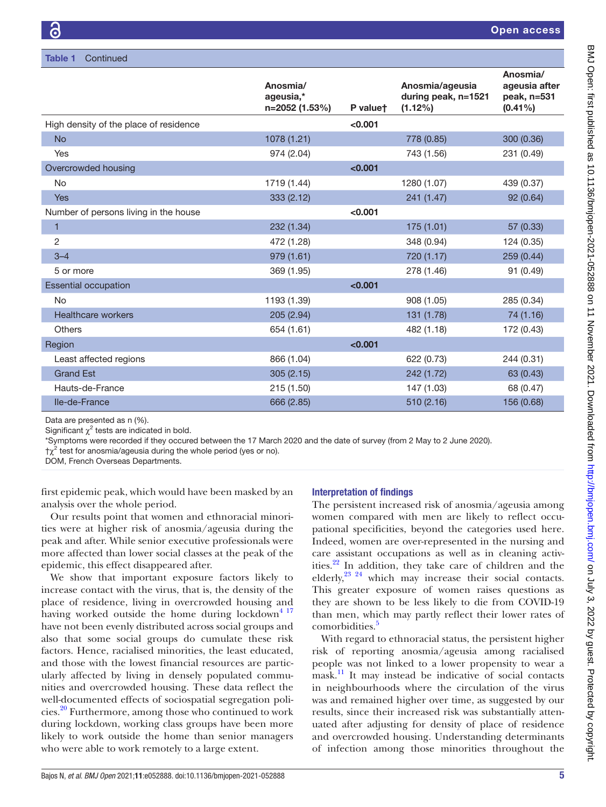|                                        | Anosmia/<br>ageusia,* |          | Anosmia/ageusia<br>during peak, n=1521 | Anosmia/<br>ageusia after<br>peak, n=531 |
|----------------------------------------|-----------------------|----------|----------------------------------------|------------------------------------------|
|                                        | n=2052 (1.53%)        | P valuet | $(1.12\%)$                             | $(0.41\%)$                               |
| High density of the place of residence |                       | < 0.001  |                                        |                                          |
| <b>No</b>                              | 1078 (1.21)           |          | 778 (0.85)                             | 300 (0.36)                               |
| Yes                                    | 974 (2.04)            |          | 743 (1.56)                             | 231 (0.49)                               |
| Overcrowded housing                    |                       | < 0.001  |                                        |                                          |
| No                                     | 1719 (1.44)           |          | 1280 (1.07)                            | 439 (0.37)                               |
| Yes                                    | 333 (2.12)            |          | 241 (1.47)                             | 92 (0.64)                                |
| Number of persons living in the house  |                       | < 0.001  |                                        |                                          |
| 1                                      | 232 (1.34)            |          | 175 (1.01)                             | 57 (0.33)                                |
| 2                                      | 472 (1.28)            |          | 348 (0.94)                             | 124 (0.35)                               |
| $3 - 4$                                | 979 (1.61)            |          | 720 (1.17)                             | 259 (0.44)                               |
| 5 or more                              | 369 (1.95)            |          | 278 (1.46)                             | 91 (0.49)                                |
| <b>Essential occupation</b>            |                       | < 0.001  |                                        |                                          |
| <b>No</b>                              | 1193 (1.39)           |          | 908 (1.05)                             | 285 (0.34)                               |
| <b>Healthcare workers</b>              | 205 (2.94)            |          | 131 (1.78)                             | 74 (1.16)                                |
| <b>Others</b>                          | 654 (1.61)            |          | 482 (1.18)                             | 172 (0.43)                               |
| Region                                 |                       | < 0.001  |                                        |                                          |
| Least affected regions                 | 866 (1.04)            |          | 622 (0.73)                             | 244 (0.31)                               |
| <b>Grand Est</b>                       | 305(2.15)             |          | 242 (1.72)                             | 63 (0.43)                                |
| Hauts-de-France                        | 215(1.50)             |          | 147 (1.03)                             | 68 (0.47)                                |
| Ile-de-France                          | 666 (2.85)            |          | 510 (2.16)                             | 156 (0.68)                               |
|                                        |                       |          |                                        |                                          |

Data are presented as n (%).

Significant  $\chi^2$  tests are indicated in bold.

\*Symptoms were recorded if they occured between the 17 March 2020 and the date of survey (from 2 May to 2 June 2020).

 $\uparrow \chi^2$  test for anosmia/ageusia during the whole period (yes or no).

DOM, French Overseas Departments.

first epidemic peak, which would have been masked by an analysis over the whole period.

Our results point that women and ethnoracial minorities were at higher risk of anosmia/ageusia during the peak and after. While senior executive professionals were more affected than lower social classes at the peak of the epidemic, this effect disappeared after.

We show that important exposure factors likely to increase contact with the virus, that is, the density of the place of residence, living in overcrowded housing and having worked outside the home during lockdown $4^{17}$ have not been evenly distributed across social groups and also that some social groups do cumulate these risk factors. Hence, racialised minorities, the least educated, and those with the lowest financial resources are particularly affected by living in densely populated communities and overcrowded housing. These data reflect the well-documented effects of sociospatial segregation policies.[20](#page-9-12) Furthermore, among those who continued to work during lockdown, working class groups have been more likely to work outside the home than senior managers who were able to work remotely to a large extent.

# Interpretation of findings

The persistent increased risk of anosmia/ageusia among women compared with men are likely to reflect occupational specificities, beyond the categories used here. Indeed, women are over-represented in the nursing and care assistant occupations as well as in cleaning activities.<sup>22</sup> In addition, they take care of children and the elderly,<sup>23 24</sup> which may increase their social contacts. This greater exposure of women raises questions as they are shown to be less likely to die from COVID-19 than men, which may partly reflect their lower rates of comorbidities.<sup>5</sup>

With regard to ethnoracial status, the persistent higher risk of reporting anosmia/ageusia among racialised people was not linked to a lower propensity to wear a mask.<sup>11</sup> It may instead be indicative of social contacts in neighbourhoods where the circulation of the virus was and remained higher over time, as suggested by our results, since their increased risk was substantially attenuated after adjusting for density of place of residence and overcrowded housing. Understanding determinants of infection among those minorities throughout the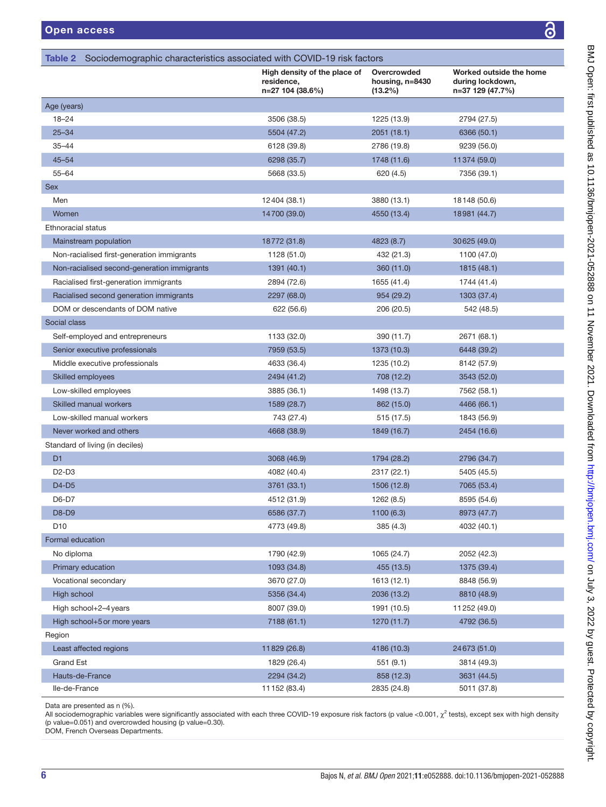BMJ Open: first published as 10.1136/bmjopen-2021-052888 on 11 November 2021. Downloaded from http://bmjopen.bmj.com/ on July 3, 2022 by guest. Protected by copyright. BMJ Open: first published as 10.1136/bmjopen-2021-052888 on 11 November 2021. Downloaded from <http://bmjopen.bmj.com/> on July 3, 2022 by guest. Protected by copyright.

<span id="page-5-0"></span>

|                                             | High density of the place of<br>residence,<br>n=27 104 (38.6%) | Overcrowded<br>housing, n=8430<br>$(13.2\%)$ | Worked outside the home<br>during lockdown,<br>n=37 129 (47.7%) |
|---------------------------------------------|----------------------------------------------------------------|----------------------------------------------|-----------------------------------------------------------------|
| Age (years)                                 |                                                                |                                              |                                                                 |
| $18 - 24$                                   | 3506 (38.5)                                                    | 1225 (13.9)                                  | 2794 (27.5)                                                     |
| $25 - 34$                                   | 5504 (47.2)                                                    | 2051(18.1)                                   | 6366 (50.1)                                                     |
| $35 - 44$                                   | 6128 (39.8)                                                    | 2786 (19.8)                                  | 9239 (56.0)                                                     |
| $45 - 54$                                   | 6298 (35.7)                                                    | 1748 (11.6)                                  | 11374 (59.0)                                                    |
| $55 - 64$                                   | 5668 (33.5)                                                    | 620 (4.5)                                    | 7356 (39.1)                                                     |
| Sex                                         |                                                                |                                              |                                                                 |
| Men                                         | 12404 (38.1)                                                   | 3880 (13.1)                                  | 18148 (50.6)                                                    |
| Women                                       | 14700 (39.0)                                                   | 4550 (13.4)                                  | 18981 (44.7)                                                    |
| Ethnoracial status                          |                                                                |                                              |                                                                 |
| Mainstream population                       | 18772 (31.8)                                                   | 4823 (8.7)                                   | 30625 (49.0)                                                    |
| Non-racialised first-generation immigrants  | 1128 (51.0)                                                    | 432 (21.3)                                   | 1100 (47.0)                                                     |
| Non-racialised second-generation immigrants | 1391 (40.1)                                                    | 360 (11.0)                                   | 1815 (48.1)                                                     |
| Racialised first-generation immigrants      | 2894 (72.6)                                                    | 1655 (41.4)                                  | 1744 (41.4)                                                     |
| Racialised second generation immigrants     | 2297 (68.0)                                                    | 954 (29.2)                                   | 1303 (37.4)                                                     |
| DOM or descendants of DOM native            | 622 (56.6)                                                     | 206 (20.5)                                   | 542 (48.5)                                                      |
| Social class                                |                                                                |                                              |                                                                 |
| Self-employed and entrepreneurs             | 1133 (32.0)                                                    | 390 (11.7)                                   | 2671 (68.1)                                                     |
| Senior executive professionals              | 7959 (53.5)                                                    | 1373 (10.3)                                  | 6448 (39.2)                                                     |
| Middle executive professionals              | 4633 (36.4)                                                    | 1235 (10.2)                                  | 8142 (57.9)                                                     |
| Skilled employees                           | 2494 (41.2)                                                    | 708 (12.2)                                   | 3543 (52.0)                                                     |
| Low-skilled employees                       | 3885 (36.1)                                                    | 1498 (13.7)                                  | 7562 (58.1)                                                     |
| Skilled manual workers                      | 1589 (28.7)                                                    | 862 (15.0)                                   | 4466 (66.1)                                                     |
| Low-skilled manual workers                  | 743 (27.4)                                                     | 515 (17.5)                                   | 1843 (56.9)                                                     |
| Never worked and others                     | 4668 (38.9)                                                    | 1849 (16.7)                                  | 2454 (16.6)                                                     |
| Standard of living (in deciles)             |                                                                |                                              |                                                                 |
| D <sub>1</sub>                              | 3068 (46.9)                                                    | 1794 (28.2)                                  | 2796 (34.7)                                                     |
| D <sub>2</sub> -D <sub>3</sub>              | 4082 (40.4)                                                    | 2317 (22.1)                                  | 5405 (45.5)                                                     |
| D4-D5                                       | 3761 (33.1)                                                    | 1506 (12.8)                                  | 7065 (53.4)                                                     |
| D6-D7                                       | 4512 (31.9)                                                    | 1262 (8.5)                                   | 8595 (54.6)                                                     |
| <b>D8-D9</b>                                | 6586 (37.7)                                                    | 1100 (6.3)                                   | 8973 (47.7)                                                     |
| D <sub>10</sub>                             | 4773 (49.8)                                                    | 385 (4.3)                                    | 4032 (40.1)                                                     |
| Formal education                            |                                                                |                                              |                                                                 |
| No diploma                                  | 1790 (42.9)                                                    | 1065 (24.7)                                  | 2052 (42.3)                                                     |
| Primary education                           | 1093 (34.8)                                                    | 455 (13.5)                                   | 1375 (39.4)                                                     |
| Vocational secondary                        | 3670 (27.0)                                                    | 1613 (12.1)                                  | 8848 (56.9)                                                     |
| High school                                 | 5356 (34.4)                                                    | 2036 (13.2)                                  | 8810 (48.9)                                                     |
| High school+2-4 years                       | 8007 (39.0)                                                    | 1991 (10.5)                                  | 11 252 (49.0)                                                   |
| High school+5 or more years                 | 7188 (61.1)                                                    | 1270 (11.7)                                  | 4792 (36.5)                                                     |
| Region                                      |                                                                |                                              |                                                                 |
| Least affected regions                      | 11829 (26.8)                                                   | 4186 (10.3)                                  | 24673 (51.0)                                                    |
| <b>Grand Est</b>                            | 1829 (26.4)                                                    | 551(9.1)                                     | 3814 (49.3)                                                     |
| Hauts-de-France                             | 2294 (34.2)                                                    | 858 (12.3)                                   | 3631 (44.5)                                                     |
| Ile-de-France                               | 11 152 (83.4)                                                  | 2835 (24.8)                                  | 5011 (37.8)                                                     |

Data are presented as n (%).

All sociodemographic variables were significantly associated with each three COVID-19 exposure risk factors (p value <0.001,  $\chi^2$  tests), except sex with high density (p value=0.051) and overcrowded housing (p value=0.30).

DOM, French Overseas Departments.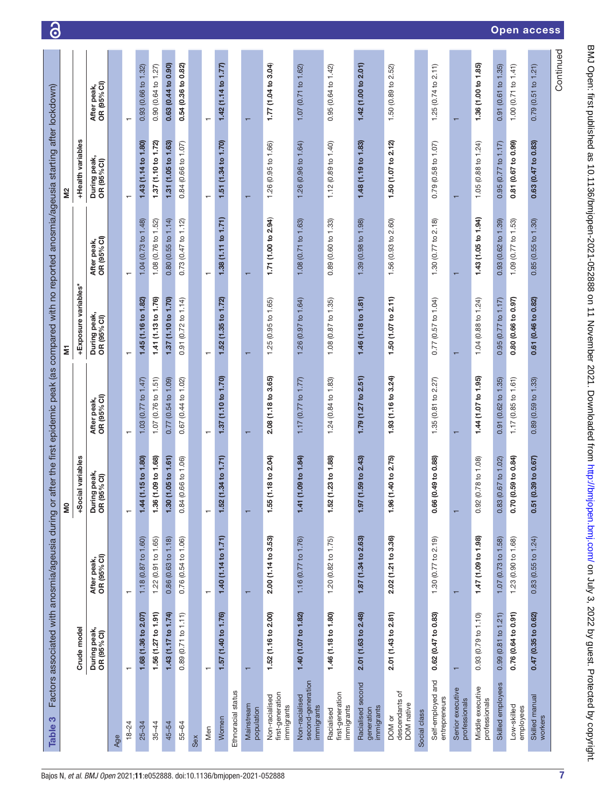| S<br><b>Table</b>                                 |                             | Factors associated with anosmia/ageusia during or |                                                     | after the first epidemic peak (as | compared with no reported anosmia/ageusia starting after lockdown) |                            |                             |                            |
|---------------------------------------------------|-----------------------------|---------------------------------------------------|-----------------------------------------------------|-----------------------------------|--------------------------------------------------------------------|----------------------------|-----------------------------|----------------------------|
|                                                   |                             |                                                   | š                                                   |                                   | Ξ                                                                  |                            | S,                          |                            |
|                                                   | Crude model                 |                                                   | cial variables<br>နိ                                |                                   | +Exposure variables*                                               |                            | +Health variables           |                            |
|                                                   | During peak,<br>OR (95% CI) | OR (95% CI)<br>After peak,                        | ing peak,<br>$(95\%$ CI)<br>Duri<br>OR <sub>1</sub> | OR (95% CI)<br>After peak,        | During peak,<br>OR (95% CI)                                        | OR (95% CI)<br>After peak, | During peak,<br>OR (95% CI) | OR (95% CI)<br>After peak, |
| Age                                               |                             |                                                   |                                                     |                                   |                                                                    |                            |                             |                            |
| $18 - 24$                                         | $\mathbf{r}$                | $\overline{\phantom{0}}$                          | $\overline{\phantom{0}}$                            | ↽                                 | ↽                                                                  | $\overline{\phantom{0}}$   | ↽                           | $\overline{ }$             |
| $25 - 34$                                         | 1.68 (1.36 to 2.07)         | 1.18 (0.87 to 1.60)                               | (1.15 to 1.80)<br>1.44                              | 1.03 $(0.77$ to 1.47              | 1.45 (1.16 to 1.82)                                                | 1.04 (0.73 to 1.48)        | 1.43 (1.14 to 1.80)         | 0.93(0.66 to 1.32)         |
| $35 - 44$                                         | 1.56 (1.27 to 1.91)         | 1.22 (0.91 to 1.65)                               | 1.36 (1.09 to 1.68)                                 | 1.07 (0.76 to 1.51)               | 1.41 (1.13 to 1.76)                                                | 1.08 (0.76 to 1.52)        | 1.37 (1.10 to 1.72)         | 0.90 (0.64 to 1.27)        |
| 45-54                                             | 1.43 (1.17 to 1.74)         | 0.86 (0.63 to 1.18)                               | $(1.05 \text{ to } 1.61)$<br>1.30                   | 0.77(0.54 to 1.09)                | 1.37 (1.10 to 1.70)                                                | 0.80(0.55 to 1.14)         | 1.31 (1.05 to 1.63)         | 0.63 (0.44 to 0.90)        |
| 55-64                                             | 0.89(0.71 to 1.11)          | 0.76 (0.54 to 1.06)                               | (0.66 to 1.06)<br>0.84                              | 0.67 (0.44 to 1.02)               | $0.91$ $(0.72$ to $1.14)$                                          | 0.73(0.47 to 1.12)         | 0.84(0.66 to 1.07)          | 0.54 (0.36 to 0.82)        |
| Sex                                               |                             |                                                   |                                                     |                                   |                                                                    |                            |                             |                            |
| Men                                               | $\mathbf{\tau}$             | $\overline{\phantom{0}}$                          | $\overline{\phantom{0}}$                            | $\overline{\phantom{0}}$          | $\overline{\phantom{0}}$                                           | $\overline{\phantom{0}}$   | $\overline{\phantom{0}}$    |                            |
| Women                                             | 1.57 (1.40 to 1.76)         | 1.40 (1.14 to 1.71)                               | 1.52 (1.34 to 1.71)                                 | 1.37 (1.10 to 1.70)               | 1.52 (1.35 to 1.72)                                                | 1.38 (1.11 to 1.71)        | 1.51 (1.34 to 1.70)         | 1.42 (1.14 to 1.77)        |
| Ethnoracial status                                |                             |                                                   |                                                     |                                   |                                                                    |                            |                             |                            |
| Mainstream<br>population                          | ٣                           | $\overline{\phantom{0}}$                          | ↽                                                   | ↽                                 | ↽                                                                  | ↽                          | ┯                           | ┯                          |
| first-generation<br>Non-racialised<br>immigrants  | 1.52 (1.16 to 2.00)         | 2.00 (1.14 to 3.53)                               | (1.18 to 2.04)<br>1.55                              | 2.08 (1.18 to 3.65)               | 1.25 (0.95 to 1.65)                                                | 1.71 (1.00 to 2.94)        | 1.26 (0.95 to 1.66)         | 1.77 (1.04 to 3.04)        |
| second-generation<br>Non-racialised<br>immigrants | 1.40 (1.07 to 1.82)         | 1.16 (0.77 to 1.76)                               | $(1.09 \text{ to } 1.84)$<br>1.41                   | 1.17 $(0.77$ to 1.77)             | 1.26 (0.97 to 1.64)                                                | 1.08 (0.71 to 1.63)        | 1.26 (0.96 to 1.64)         | 1.07 (0.71 to 1.62)        |
| first-generation<br>immigrants<br>Racialised      | 1.46 (1.18 to 1.80)         | 1.20 (0.82 to 1.75)                               | (1.23 to 1.88)<br>1.52                              | 1.24 (0.84 to 1.83)               | 1.08 (0.87 to 1.35)                                                | 0.89 (0.60 to 1.33)        | 1.12 (0.89 to 1.40)         | 0.95 (0.64 to 1.42)        |
| Racialised second<br>immigrants<br>generation     | 2.01 (1.63 to 2.48)         | 1.87 (1.34 to 2.63)                               | $(1.59 \text{ to } 2.43)$<br>1.97                   | 1.79(1.27 to 2.51)                | 1.46 (1.18 to 1.81)                                                | 1.39 (0.98 to 1.98)        | 1.48 (1.19 to 1.83)         | 1.42 (1.00 to 2.01)        |
| ৳<br>descendants<br>DOM native<br>DOM or          | 2.01 (1.43 to 2.81)         | 2.02 (1.21 to 3.36)                               | 1.96 (1.40 to 2.75)                                 | 1.93 (1.16 to 3.24)               | 1.50 (1.07 to 2.11)                                                | 1.56(0.93 to 2.60)         | 1.50 (1.07 to 2.12)         | 1.50 (0.89 to 2.52)        |
| Social class                                      |                             |                                                   |                                                     |                                   |                                                                    |                            |                             |                            |
| Self-employed and<br>entrepreneurs                | 0.62(0.47 to 0.83)          | 1.30 (0.77 to 2.19)                               | $(0.49 \text{ to } 0.88)$<br>0.66                   | 1.35 (0.81 to 2.27)               | 0.77 (0.57 to 1.04)                                                | 1.30 (0.77 to 2.18)        | 0.79(0.58 to 1.07)          | 1.25(0.74 to 2.11)         |
| Senior executive<br>professionals                 |                             |                                                   | ↽                                                   |                                   |                                                                    |                            |                             |                            |
| Middle executive<br>professionals                 | 0.93 (0.79 to 1.10)         | 1.47 (1.09 to 1.98)                               | $(0.78 \text{ to } 1.08)$<br>0.92                   | 1.44 (1.07 to 1.95)               | 1.04 (0.88 to 1.24)                                                | 1.43 (1.05 to 1.94)        | 1.05 (0.88 to 1.24)         | 1.36 (1.00 to 1.85)        |
| Skilled employees                                 | 0.99(0.81 to 1.21)          | 1.07 (0.73 to 1.58)                               | (0.67 to 1.02)<br>0.83                              | 0.91(0.62 to 1.35)                | 0.95(0.77 to 1.17)                                                 | 0.93(0.62 to 1.39)         | 0.95(0.77 to 1.17)          | 0.91(0.61 to 1.35)         |
| Low-skilled<br>employees                          | 0.76 (0.64 to 0.91)         | 1.23 (0.90 to 1.68)                               | (0.59 to 0.84)<br>0.70                              | 1.17 (0.85 to 1.61)               | 0.80 (0.66 to 0.97)                                                | 1.09 (0.77 to 1.53)        | 0.81 (0.67 to 0.99)         | 1.00 $(0.71$ to 1.41)      |
| Skilled manual<br>workers                         | 0.47 (0.35 to 0.62)         | 0.83(0.55 to 1.24)                                | (0.39 to 0.67)<br>$0.5^{\circ}$                     | 0.89(0.59 to 1.33)                | 0.61 (0.46 to 0.82)                                                | 0.85(0.55 to 1.30)         | 0.63 (0.47 to 0.83)         | 0.79(0.51 to 1.21)         |
|                                                   |                             |                                                   |                                                     |                                   |                                                                    |                            |                             | Continued                  |

<span id="page-6-0"></span>7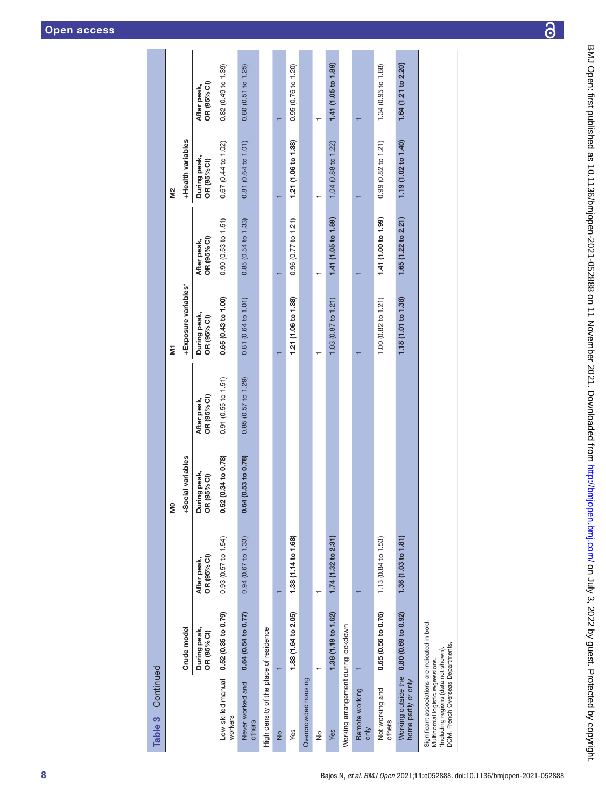| Continued<br>Table 3                                                                                                                                              |                                         |                            | g                                |                             | ξ                           |                            | Σă                            |                               |
|-------------------------------------------------------------------------------------------------------------------------------------------------------------------|-----------------------------------------|----------------------------|----------------------------------|-----------------------------|-----------------------------|----------------------------|-------------------------------|-------------------------------|
|                                                                                                                                                                   | Crude model                             |                            | +Social variables                |                             | +Exposure variables*        |                            | +Health variables             |                               |
|                                                                                                                                                                   | During peak,<br>OR (95% CI)             | OR (95% CI)<br>After peak, | During peak,<br>$(95\%$ CI)<br>õ | OR (95% CI)<br>After peak,  | During peak,<br>OR (95% CI) | OR (95% CI)<br>After peak, | During peak,<br>OR (95% Cl)   | OR (95% CI)<br>After peak,    |
| workers                                                                                                                                                           | Low-skilled manual 0.52 (0.35 to 0.79)  | 0.93(0.57 to 1.54)         | 0.52 (0.34 to 0.78)              | $0.91$ ( $0.55$ to $1.51$ ) | 0.65(0.43 to 1.00)          | 0.90(0.53 to 1.51)         | 0.67 (0.44 to 1.02)           | 0.82(0.49 to 1.39)            |
| Never worked and<br>others                                                                                                                                        | $0.64$ (0.54 to 0.77)                   | 0.94 (0.67 to 1.33)        | 0.64 (0.53 to 0.78)              | 0.85(0.57 to 1.29)          | 0.81 (0.64 to 1.01)         | 0.85(0.54 to 1.33)         | 0.81 (0.64 to 1.01)           | 0.80(0.51 to 1.25)            |
| High density of the place of residence                                                                                                                            |                                         |                            |                                  |                             |                             |                            |                               |                               |
| $\frac{1}{2}$                                                                                                                                                     |                                         |                            |                                  |                             |                             |                            |                               |                               |
| Yes                                                                                                                                                               | 1.83 (1.64 to 2.05)                     | 1.38 (1.14 to 1.68)        |                                  |                             | 1.21 (1.06 to 1.38)         | 0.96(0.77 to 1.21)         | 1.21 (1.06 to 1.38)           | $0.95(0.76 \text{ to } 1.20)$ |
| Overcrowded housing                                                                                                                                               |                                         |                            |                                  |                             |                             |                            |                               |                               |
| $\frac{1}{2}$                                                                                                                                                     |                                         |                            |                                  |                             |                             |                            |                               |                               |
| Yes                                                                                                                                                               | 1.38 (1.19 to 1.62)                     | 1.74(1.32 to 2.31)         |                                  |                             | 1.03(0.87 to 1.21)          | 1.41 (1.05 to 1.89)        | 1.04 (0.88 to 1.22)           | 1.41 (1.05 to 1.89)           |
| Working arrangement during lockdown                                                                                                                               |                                         |                            |                                  |                             |                             |                            |                               |                               |
| Remote working<br>$\frac{1}{2}$                                                                                                                                   |                                         |                            |                                  |                             |                             |                            |                               |                               |
| Not working and<br>others                                                                                                                                         | 0.65 (0.56 to 0.76)                     | 1.13 (0.84 to 1.53)        |                                  |                             | 1.00 (0.82 to 1.21)         | 1.41 (1.00 to 1.99)        | $0.99(0.82 \text{ to } 1.21)$ | 1.34 (0.95 to 1.88)           |
| home partly or only                                                                                                                                               | Working outside the 0.80 (0.69 to 0.92) | 1.36 (1.03 to 1.81)        |                                  |                             | 1.18 (1.01 to 1.38)         | 1.65(1.22 to 2.21)         | 1.19 (1.02 to 1.40)           | 1.64 (1.21 to 2.20)           |
| Significant associations are indicated in bold.<br>DOM, French Overseas Departments.<br>*Including regions (data not shown).<br>Multinomial logistic regressions. |                                         |                            |                                  |                             |                             |                            |                               |                               |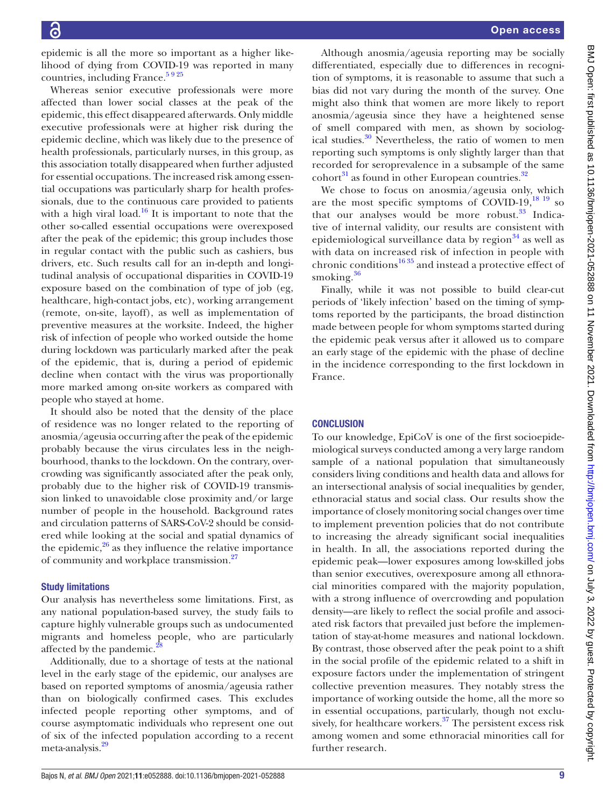epidemic is all the more so important as a higher likelihood of dying from COVID-19 was reported in many countries, including France. $5925$ 

Whereas senior executive professionals were more affected than lower social classes at the peak of the epidemic, this effect disappeared afterwards. Only middle executive professionals were at higher risk during the epidemic decline, which was likely due to the presence of health professionals, particularly nurses, in this group, as this association totally disappeared when further adjusted for essential occupations. The increased risk among essential occupations was particularly sharp for health professionals, due to the continuous care provided to patients with a high viral load.<sup>[16](#page-9-10)</sup> It is important to note that the other so-called essential occupations were overexposed after the peak of the epidemic; this group includes those in regular contact with the public such as cashiers, bus drivers, etc. Such results call for an in-depth and longitudinal analysis of occupational disparities in COVID-19 exposure based on the combination of type of job (eg, healthcare, high-contact jobs, etc), working arrangement (remote, on-site, layoff), as well as implementation of preventive measures at the worksite. Indeed, the higher risk of infection of people who worked outside the home during lockdown was particularly marked after the peak of the epidemic, that is, during a period of epidemic decline when contact with the virus was proportionally more marked among on-site workers as compared with people who stayed at home.

It should also be noted that the density of the place of residence was no longer related to the reporting of anosmia/ageusia occurring after the peak of the epidemic probably because the virus circulates less in the neighbourhood, thanks to the lockdown. On the contrary, overcrowding was significantly associated after the peak only, probably due to the higher risk of COVID-19 transmission linked to unavoidable close proximity and/or large number of people in the household. Background rates and circulation patterns of SARS-CoV-2 should be considered while looking at the social and spatial dynamics of the epidemic, $26$  as they influence the relative importance of community and workplace transmission.<sup>[27](#page-10-0)</sup>

#### Study limitations

Our analysis has nevertheless some limitations. First, as any national population-based survey, the study fails to capture highly vulnerable groups such as undocumented migrants and homeless people, who are particularly affected by the pandemic.<sup>28</sup>

Additionally, due to a shortage of tests at the national level in the early stage of the epidemic, our analyses are based on reported symptoms of anosmia/ageusia rather than on biologically confirmed cases. This excludes infected people reporting other symptoms, and of course asymptomatic individuals who represent one out of six of the infected population according to a recent meta-analysis.<sup>[29](#page-10-2)</sup>

Although anosmia/ageusia reporting may be socially differentiated, especially due to differences in recognition of symptoms, it is reasonable to assume that such a bias did not vary during the month of the survey. One might also think that women are more likely to report anosmia/ageusia since they have a heightened sense of smell compared with men, as shown by sociological studies.<sup>30</sup> Nevertheless, the ratio of women to men reporting such symptoms is only slightly larger than that recorded for seroprevalence in a subsample of the same  $\text{cohort}^{31}$  as found in other European countries.<sup>32</sup>

We chose to focus on anosmia/ageusia only, which are the most specific symptoms of COVID-19, $^{18}$  19 so that our analyses would be more robust. $33$  Indicative of internal validity, our results are consistent with epidemiological surveillance data by region $34$  as well as with data on increased risk of infection in people with chronic conditions<sup>1635</sup> and instead a protective effect of smoking.<sup>[36](#page-10-8)</sup>

Finally, while it was not possible to build clear-cut periods of 'likely infection' based on the timing of symptoms reported by the participants, the broad distinction made between people for whom symptoms started during the epidemic peak versus after it allowed us to compare an early stage of the epidemic with the phase of decline in the incidence corresponding to the first lockdown in France.

#### **CONCLUSION**

To our knowledge, EpiCoV is one of the first socioepidemiological surveys conducted among a very large random sample of a national population that simultaneously considers living conditions and health data and allows for an intersectional analysis of social inequalities by gender, ethnoracial status and social class. Our results show the importance of closely monitoring social changes over time to implement prevention policies that do not contribute to increasing the already significant social inequalities in health. In all, the associations reported during the epidemic peak—lower exposures among low-skilled jobs than senior executives, overexposure among all ethnoracial minorities compared with the majority population, with a strong influence of overcrowding and population density—are likely to reflect the social profile and associated risk factors that prevailed just before the implementation of stay-at-home measures and national lockdown. By contrast, those observed after the peak point to a shift in the social profile of the epidemic related to a shift in exposure factors under the implementation of stringent collective prevention measures. They notably stress the importance of working outside the home, all the more so in essential occupations, particularly, though not exclusively, for healthcare workers. $37$  The persistent excess risk among women and some ethnoracial minorities call for further research.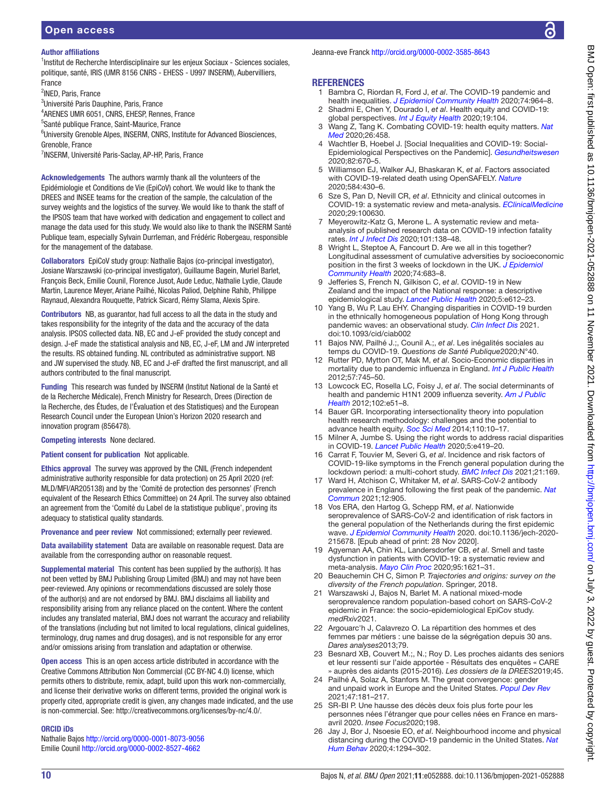#### Author affiliations

<sup>1</sup>Institut de Recherche Interdisciplinaire sur les enjeux Sociaux - Sciences sociales, politique, santé, IRIS (UMR 8156 CNRS - EHESS - U997 INSERM), Aubervilliers, France

<sup>2</sup>INED, Paris, France

<sup>3</sup>Université Paris Dauphine, Paris, France

4 ARENES UMR 6051, CNRS, EHESP, Rennes, France

5 Santé publique France, Saint-Maurice, France

<sup>6</sup>University Grenoble Alpes, INSERM, CNRS, Institute for Advanced Biosciences, Grenoble, France

<sup>7</sup>INSERM, Université Paris-Saclay, AP-HP, Paris, France

Acknowledgements The authors warmly thank all the volunteers of the Epidémiologie et Conditions de Vie (EpiCoV) cohort. We would like to thank the DREES and INSEE teams for the creation of the sample, the calculation of the survey weights and the logistics of the survey. We would like to thank the staff of the IPSOS team that have worked with dedication and engagement to collect and manage the data used for this study. We would also like to thank the INSERM Santé Publique team, especially Sylvain Durrleman, and Frédéric Robergeau, responsible for the management of the database.

Collaborators EpiCoV study group: Nathalie Bajos (co-principal investigator), Josiane Warszawski (co-principal investigator), Guillaume Bagein, Muriel Barlet, François Beck, Emilie Counil, Florence Jusot, Aude Leduc, Nathalie Lydie, Claude Martin, Laurence Meyer, Ariane Pailhé, Nicolas Paliod, Delphine Rahib, Philippe Raynaud, Alexandra Rouquette, Patrick Sicard, Rémy Slama, Alexis Spire.

Contributors NB, as guarantor, had full access to all the data in the study and takes responsibility for the integrity of the data and the accuracy of the data analysis. IPSOS collected data. NB, EC and J-eF provided the study concept and design. J-eF made the statistical analysis and NB, EC, J-eF, LM and JW interpreted the results. RS obtained funding. NL contributed as administrative support. NB and JW supervised the study. NB, EC and J-eF drafted the first manuscript, and all authors contributed to the final manuscript.

Funding This research was funded by INSERM (Institut National de la Santé et de la Recherche Médicale), French Ministry for Research, Drees (Direction de la Recherche, des Études, de l'Évaluation et des Statistiques) and the European Research Council under the European Union's Horizon 2020 research and innovation program (856478).

Competing interests None declared.

Patient consent for publication Not applicable.

Ethics approval The survey was approved by the CNIL (French independent administrative authority responsible for data protection) on 25 April 2020 (ref: MLD/MFI/AR205138) and by the 'Comité de protection des personnes' (French equivalent of the Research Ethics Committee) on 24 April. The survey also obtained an agreement from the 'Comité du Label de la statistique publique', proving its adequacy to statistical quality standards.

Provenance and peer review Not commissioned; externally peer reviewed.

Data availability statement Data are available on reasonable request. Data are available from the corresponding author on reasonable request.

Supplemental material This content has been supplied by the author(s). It has not been vetted by BMJ Publishing Group Limited (BMJ) and may not have been peer-reviewed. Any opinions or recommendations discussed are solely those of the author(s) and are not endorsed by BMJ. BMJ disclaims all liability and responsibility arising from any reliance placed on the content. Where the content includes any translated material, BMJ does not warrant the accuracy and reliability of the translations (including but not limited to local regulations, clinical guidelines, terminology, drug names and drug dosages), and is not responsible for any error and/or omissions arising from translation and adaptation or otherwise.

Open access This is an open access article distributed in accordance with the Creative Commons Attribution Non Commercial (CC BY-NC 4.0) license, which permits others to distribute, remix, adapt, build upon this work non-commercially, and license their derivative works on different terms, provided the original work is properly cited, appropriate credit is given, any changes made indicated, and the use is non-commercial. See: [http://creativecommons.org/licenses/by-nc/4.0/.](http://creativecommons.org/licenses/by-nc/4.0/)

#### ORCID iDs

Nathalie Bajos <http://orcid.org/0000-0001-8073-9056> Emilie Counil <http://orcid.org/0000-0002-8527-4662>

Jeanna-eve Franck<http://orcid.org/0000-0002-3585-8643>

#### REFERENCES

- <span id="page-9-0"></span>1 Bambra C, Riordan R, Ford J, *et al*. The COVID-19 pandemic and health inequalities. *[J Epidemiol Community Health](http://dx.doi.org/10.1136/jech-2020-214401)* 2020;74:964–8.
- 2 Shadmi E, Chen Y, Dourado I, *et al*. Health equity and COVID-19: global perspectives. *[Int J Equity Health](http://dx.doi.org/10.1186/s12939-020-01218-z)* 2020;19:104.
- 3 Wang Z, Tang K. Combating COVID-19: health equity matters. *[Nat](http://dx.doi.org/10.1038/s41591-020-0823-6)  [Med](http://dx.doi.org/10.1038/s41591-020-0823-6)* 2020;26:458.
- <span id="page-9-1"></span>4 Wachtler B, Hoebel J. [Social Inequalities and COVID-19: Social-Epidemiological Perspectives on the Pandemic]. *[Gesundheitswesen](http://dx.doi.org/10.1055/a-1226-6708)* 2020;82:670–5.
- <span id="page-9-16"></span>5 Williamson EJ, Walker AJ, Bhaskaran K, *et al*. Factors associated with COVID-19-related death using OpenSAFELY. *[Nature](http://dx.doi.org/10.1038/s41586-020-2521-4)* 2020;584:430–6.
- <span id="page-9-2"></span>6 Sze S, Pan D, Nevill CR, *et al*. Ethnicity and clinical outcomes in COVID-19: a systematic review and meta-analysis. *[EClinicalMedicine](http://dx.doi.org/10.1016/j.eclinm.2020.100630)* 2020;29:100630.
- <span id="page-9-3"></span>7 Meyerowitz-Katz G, Merone L. A systematic review and metaanalysis of published research data on COVID-19 infection fatality rates. *[Int J Infect Dis](http://dx.doi.org/10.1016/j.ijid.2020.09.1464)* 2020;101:138–48.
- <span id="page-9-4"></span>8 Wright L, Steptoe A, Fancourt D, Are we all in this together? Longitudinal assessment of cumulative adversities by socioeconomic position in the first 3 weeks of lockdown in the UK. *[J Epidemiol](http://dx.doi.org/10.1136/jech-2020-214475)  [Community Health](http://dx.doi.org/10.1136/jech-2020-214475)* 2020;74:683–8.
- <span id="page-9-5"></span>9 Jefferies S, French N, Gilkison C, *et al*. COVID-19 in New Zealand and the impact of the National response: a descriptive epidemiological study. *[Lancet Public Health](http://dx.doi.org/10.1016/S2468-2667(20)30225-5)* 2020;5:e612–23.
- <span id="page-9-6"></span>10 Yang B, Wu P, Lau EHY. Changing disparities in COVID-19 burden in the ethnically homogeneous population of Hong Kong through pandemic waves: an observational study. *[Clin Infect Dis](http://dx.doi.org/10.1093/cid/ciab002)* 2021. doi:10.1093/cid/ciab002
- <span id="page-9-17"></span>11 Bajos NW, Pailhé J.;, Counil A.;, *et al*. Les inégalités sociales au temps du COVID-19. *Questions de Santé Publique*2020;N°40.
- <span id="page-9-7"></span>12 Rutter PD, Mytton OT, Mak M, *et al*. Socio-Economic disparities in mortality due to pandemic influenza in England. *[Int J Public Health](http://dx.doi.org/10.1007/s00038-012-0337-1)* 2012;57:745–50.
- 13 Lowcock EC, Rosella LC, Foisy J, *et al*. The social determinants of health and pandemic H1N1 2009 influenza severity. *[Am J Public](http://dx.doi.org/10.2105/AJPH.2012.300814)  [Health](http://dx.doi.org/10.2105/AJPH.2012.300814)* 2012;102:e51–8.
- <span id="page-9-8"></span>14 Bauer GR. Incorporating intersectionality theory into population health research methodology: challenges and the potential to advance health equity. *[Soc Sci Med](http://dx.doi.org/10.1016/j.socscimed.2014.03.022)* 2014;110:10–17.
- <span id="page-9-9"></span>15 Milner A, Jumbe S. Using the right words to address racial disparities in COVID-19. *[Lancet Public Health](http://dx.doi.org/10.1016/S2468-2667(20)30162-6)* 2020;5:e419–20.
- <span id="page-9-10"></span>16 Carrat F, Touvier M, Severi G, *et al*. Incidence and risk factors of COVID-19-like symptoms in the French general population during the lockdown period: a multi-cohort study. *[BMC Infect Dis](http://dx.doi.org/10.1186/s12879-021-05864-8)* 2021;21:169.
- <span id="page-9-11"></span>17 Ward H, Atchison C, Whitaker M, *et al*. SARS-CoV-2 antibody prevalence in England following the first peak of the pandemic. *[Nat](http://dx.doi.org/10.1038/s41467-021-21237-w)  [Commun](http://dx.doi.org/10.1038/s41467-021-21237-w)* 2021;12:905.
- <span id="page-9-19"></span>18 Vos ERA, den Hartog G, Schepp RM, *et al*. Nationwide seroprevalence of SARS-CoV-2 and identification of risk factors in the general population of the Netherlands during the first epidemic wave. *[J Epidemiol Community Health](http://dx.doi.org/10.1136/jech-2020-215678)* 2020. doi:10.1136/jech-2020- 215678. [Epub ahead of print: 28 Nov 2020].
- 19 Agyeman AA, Chin KL, Landersdorfer CB, *et al*. Smell and taste dysfunction in patients with COVID-19: a systematic review and meta-analysis. *[Mayo Clin Proc](http://dx.doi.org/10.1016/j.mayocp.2020.05.030)* 2020;95:1621–31.
- <span id="page-9-12"></span>20 Beauchemin CH C, Simon P. *Trajectories and origins: survey on the diversity of the French population*. Springer, 2018.
- <span id="page-9-13"></span>21 Warszawski J, Bajos N, Barlet M. A national mixed-mode seroprevalence random population-based cohort on SARS-CoV-2 epidemic in France: the socio-epidemiological EpiCov study. *medRxiv*2021.
- <span id="page-9-14"></span>22 Argouarc'h J, Calavrezo O. La répartition des hommes et des femmes par métiers : une baisse de la ségrégation depuis 30 ans. *Dares analyses*2013;79.
- <span id="page-9-15"></span>23 Besnard XB, Couvert M.;, N.; Roy D. Les proches aidants des seniors et leur ressenti sur l'aide apportée - Résultats des enquêtes « CARE » auprès des aidants (2015-2016). *Les dossiers de la DREES*2019;45.
- 24 Pailhé A, Solaz A, Stanfors M. The great convergence: gender and unpaid work in Europe and the United States. *[Popul Dev Rev](http://dx.doi.org/10.1111/padr.12385)* 2021;47:181–217.
- 25 SR-BI P. Une hausse des décès deux fois plus forte pour les personnes nées l'étranger que pour celles nées en France en marsavril 2020. *Insee Focus*2020;198.
- <span id="page-9-18"></span>26 Jay J, Bor J, Nsoesie EO, *et al*. Neighbourhood income and physical distancing during the COVID-19 pandemic in the United States. *[Nat](http://dx.doi.org/10.1038/s41562-020-00998-2)  [Hum Behav](http://dx.doi.org/10.1038/s41562-020-00998-2)* 2020;4:1294–302.